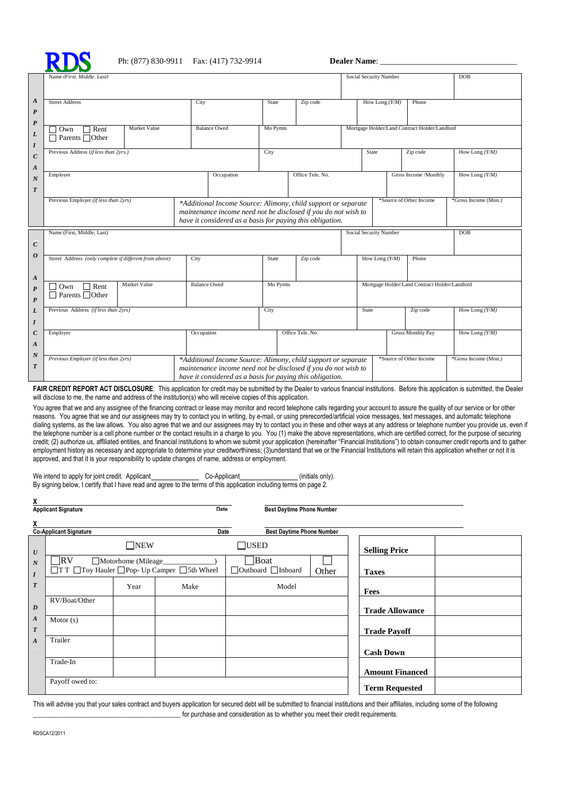

|                                      | Name (First, Middle, Last)                                                                         |                                                                                                                                                                                              |          |                      |                                               | Social Security Number                        | <b>DOB</b>               |                      |
|--------------------------------------|----------------------------------------------------------------------------------------------------|----------------------------------------------------------------------------------------------------------------------------------------------------------------------------------------------|----------|----------------------|-----------------------------------------------|-----------------------------------------------|--------------------------|----------------------|
|                                      |                                                                                                    |                                                                                                                                                                                              |          |                      |                                               |                                               |                          |                      |
| A<br>$\boldsymbol{P}$                | <b>Street Address</b>                                                                              | City                                                                                                                                                                                         | State    | Zip code<br>Mo Pymts |                                               | How Long $(Y/M)$<br>Phone                     |                          |                      |
| $\boldsymbol{P}$<br>L<br>I           | Market Value<br>$\Box$ Rent<br>$\Box$ Own<br>$\Box$ Parents $\Box$ Other                           | <b>Balance Owed</b>                                                                                                                                                                          |          |                      |                                               | Mortgage Holder/Land Contract Holder/Landlord |                          |                      |
| $\boldsymbol{C}$<br>$\boldsymbol{A}$ | Previous Address (if less than 2yrs.)                                                              |                                                                                                                                                                                              | City     |                      |                                               | State                                         | Zip code                 | How Long $(Y/M)$     |
| $\boldsymbol{N}$<br>T                | Employer                                                                                           | Occupation                                                                                                                                                                                   |          | Office Tele, No.     |                                               |                                               | Gross Income /Monthly    | How Long $(Y/M)$     |
|                                      | Previous Employer (if less than 2yrs)                                                              | *Additional Income Source: Alimony, child support or separate<br>maintenance income need not be disclosed if you do not wish to<br>have it considered as a basis for paying this obligation. |          |                      |                                               |                                               | *Source of Other Income  | *Gross Income (Mon.) |
| $\boldsymbol{C}$                     | Name (First, Middle, Last)                                                                         |                                                                                                                                                                                              |          |                      |                                               | Social Security Number                        |                          | <b>DOB</b>           |
| $\boldsymbol{o}$<br>$\boldsymbol{A}$ | Street Address (only complete if different from above)                                             | City                                                                                                                                                                                         | State    | Zip code             |                                               | How Long $(Y/M)$                              | Phone                    |                      |
| $\boldsymbol{P}$<br>P                | Market Value<br><b>Balance Owed</b><br>$\Box$ Rent<br>$\exists$ Own<br>$\Box$ Parents $\Box$ Other |                                                                                                                                                                                              | Mo Pymts |                      | Mortgage Holder/Land Contract Holder/Landlord |                                               |                          |                      |
| L<br>$\bm{I}$                        | Previous Address (if less than 2yrs)                                                               |                                                                                                                                                                                              | City     |                      | State                                         |                                               | Zip code                 | How Long $(Y/M)$     |
| $\boldsymbol{C}$<br>$\boldsymbol{A}$ | Employer                                                                                           | Occupation                                                                                                                                                                                   |          | Office Tele, No.     |                                               |                                               | <b>Gross Monthly Pay</b> | How Long $(Y/M)$     |
| $\boldsymbol{N}$<br>T                | Previous Employer (if less than 2yrs)                                                              | *Additional Income Source: Alimony, child support or separate<br>maintenance income need not be disclosed if you do not wish to<br>have it considered as a basis for paying this obligation. |          |                      |                                               |                                               | *Source of Other Income  | *Gross Income (Mon.) |

FAIR CREDIT REPORT ACT DISCLOSURE: This application for credit may be submitted by the Dealer to various financial institutions. Before this application is submitted, the Dealer will disclose to me, the name and address of the institution(s) who will receive copies of this application.

You agree that we and any assignee of the financing contract or lease may monitor and record telephone calls regarding your account to assure the quality of our service or for other reasons. You agree that we and our assignees may try to contact you in writing, by e-mail, or using prerecorded/artificial voice messages, text messages, and automatic telephone dialing systems, as the law allows. You also agree that we and our assignees may try to contact you in these and other ways at any address or telephone number you provide us, even if the telephone number is a cell phone number or the contact results in a charge to you. You (1) make the above representations, which are certified correct, for the purpose of securing credit; (2) authorize us, affiliated entities, and financial institutions to whom we submit your application (hereinafter "Financial Institutions") to obtain consumer credit reports and to gather employment history as necessary and appropriate to determine your creditworthiness; (3)understand that we or the Financial Institutions will retain this application whether or not it is approved, and that it is your responsibility to update changes of name, address or employment.

| We intend to apply for joint credit. Applicant | Co-Applicant                                                                                                       | (initials only). |
|------------------------------------------------|--------------------------------------------------------------------------------------------------------------------|------------------|
|                                                | By signing below, I certify that I have read and agree to the terms of this application including terms on page 2. |                  |

| X                                    | <b>Applicant Signature</b>                                                                              |      | Date                                   | <b>Best Daytime Phone Number</b> |                      |                        |  |
|--------------------------------------|---------------------------------------------------------------------------------------------------------|------|----------------------------------------|----------------------------------|----------------------|------------------------|--|
| X                                    | <b>Co-Applicant Signature</b>                                                                           |      | <b>Date</b>                            | <b>Best Daytime Phone Number</b> |                      |                        |  |
| $\boldsymbol{U}$                     | $\neg$ NEW                                                                                              |      | $\Box$ USED                            |                                  | <b>Selling Price</b> |                        |  |
| $\boldsymbol{N}$<br>$\boldsymbol{I}$ | $\n  RV\n$<br>Motorhome (Mileage<br>$\Box$ T T $\Box$ Toy Hauler $\Box$ Pop- Up Camper $\Box$ 5th Wheel |      | Boat<br>$\Box$ Outboard $\Box$ Inboard | Other                            | <b>Taxes</b>         |                        |  |
| $\boldsymbol{T}$                     |                                                                                                         | Year | Make                                   | Model                            |                      | Fees                   |  |
| D                                    | RV/Boat/Other                                                                                           |      |                                        |                                  |                      | <b>Trade Allowance</b> |  |
| $\boldsymbol{A}$<br>$\boldsymbol{T}$ | Motor $(s)$                                                                                             |      |                                        |                                  |                      | <b>Trade Payoff</b>    |  |
| $\boldsymbol{A}$                     | Trailer                                                                                                 |      |                                        |                                  |                      | <b>Cash Down</b>       |  |
|                                      | Trade-In                                                                                                |      |                                        |                                  |                      | <b>Amount Financed</b> |  |
|                                      | Payoff owed to:                                                                                         |      |                                        |                                  |                      | <b>Term Requested</b>  |  |

This will advise you that your sales contract and buyers application for secured debt will be submitted to financial institutions and their affiliates, including some of the following \_\_\_\_\_\_\_\_\_\_\_\_\_\_\_\_\_\_\_\_\_\_\_\_\_\_\_\_\_\_\_\_\_\_\_\_\_\_\_\_\_\_\_\_ for purchase and consideration as to whether you meet their credit requirements.